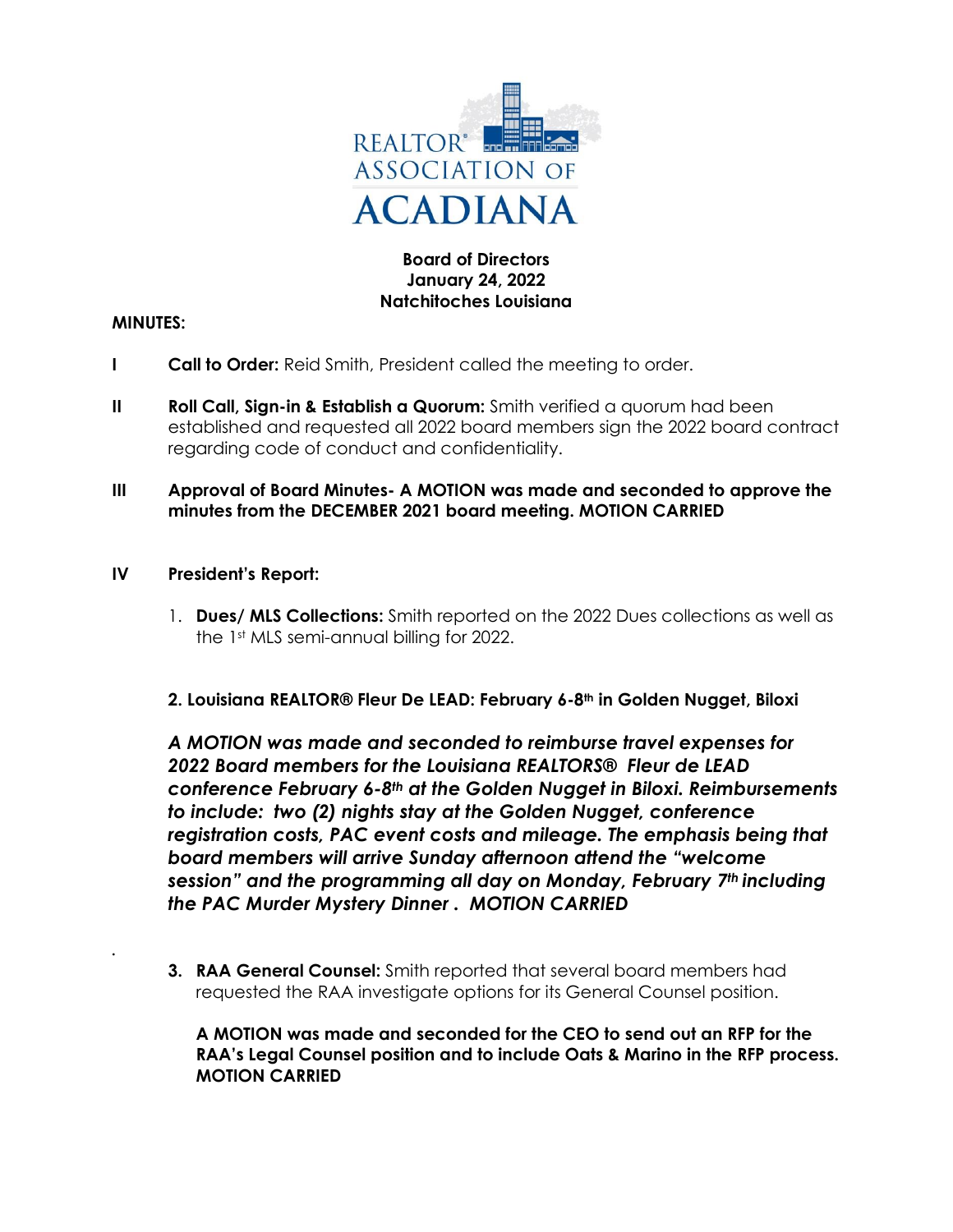

# **Board of Directors January 24, 2022 Natchitoches Louisiana**

#### **MINUTES:**

*.* 

- **I Call to Order:** Reid Smith, President called the meeting to order.
- **II Roll Call, Sign-in & Establish a Quorum:** Smith verified a quorum had been established and requested all 2022 board members sign the 2022 board contract regarding code of conduct and confidentiality.
- **III Approval of Board Minutes- A MOTION was made and seconded to approve the minutes from the DECEMBER 2021 board meeting. MOTION CARRIED**
- **IV President's Report:**
	- 1. **Dues/ MLS Collections:** Smith reported on the 2022 Dues collections as well as the 1st MLS semi-annual billing for 2022.
	- **2. Louisiana REALTOR® Fleur De LEAD: February 6-8th in Golden Nugget, Biloxi**

*A MOTION was made and seconded to reimburse travel expenses for 2022 Board members for the Louisiana REALTORS® Fleur de LEAD conference February 6-8th at the Golden Nugget in Biloxi. Reimbursements to include: two (2) nights stay at the Golden Nugget, conference registration costs, PAC event costs and mileage. The emphasis being that board members will arrive Sunday afternoon attend the "welcome session" and the programming all day on Monday, February 7th including the PAC Murder Mystery Dinner . MOTION CARRIED*

**3. RAA General Counsel:** Smith reported that several board members had requested the RAA investigate options for its General Counsel position.

**A MOTION was made and seconded for the CEO to send out an RFP for the RAA's Legal Counsel position and to include Oats & Marino in the RFP process. MOTION CARRIED**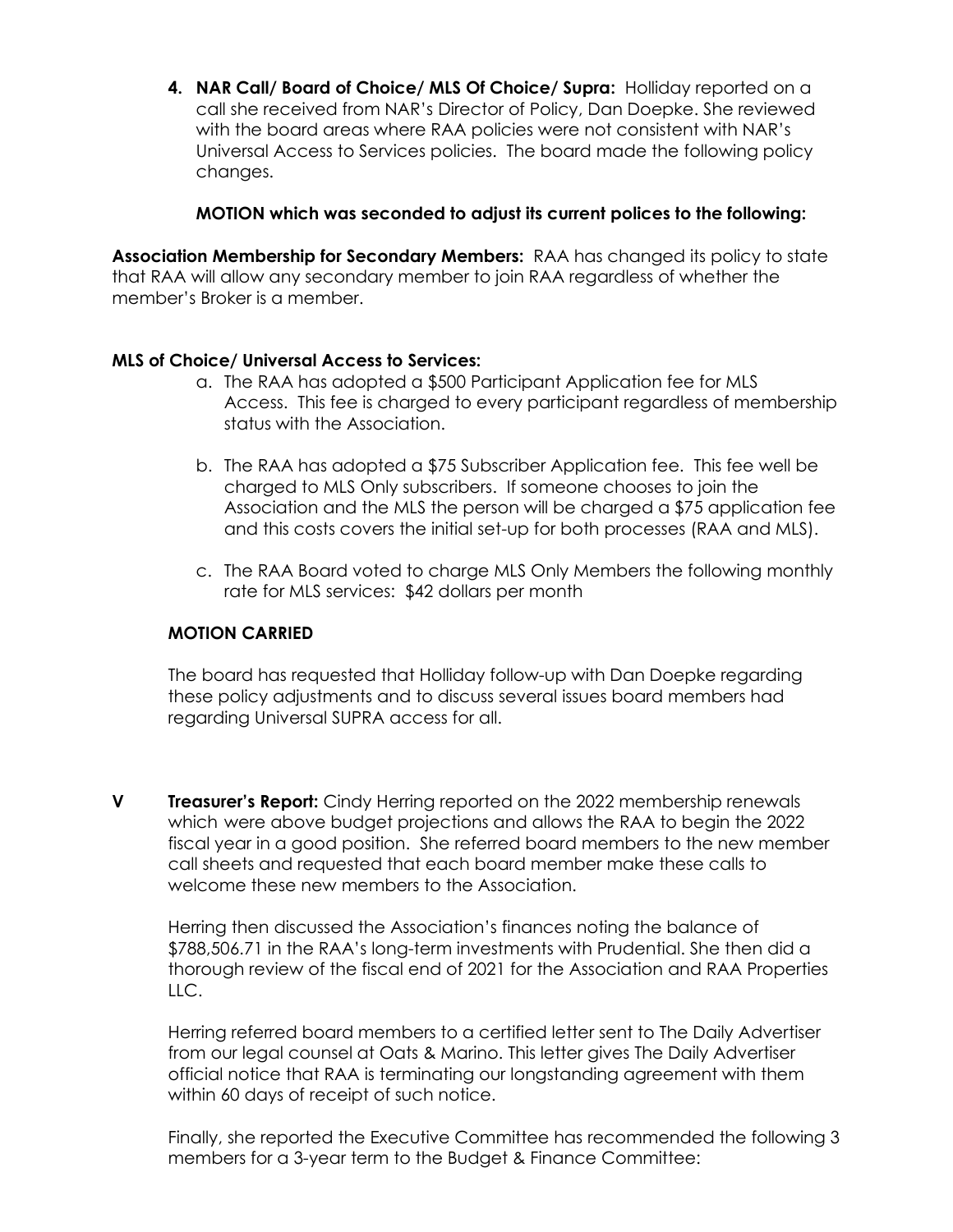**4. NAR Call/ Board of Choice/ MLS Of Choice/ Supra:** Holliday reported on a call she received from NAR's Director of Policy, Dan Doepke. She reviewed with the board areas where RAA policies were not consistent with NAR's Universal Access to Services policies. The board made the following policy changes.

## **MOTION which was seconded to adjust its current polices to the following:**

**Association Membership for Secondary Members:** RAA has changed its policy to state that RAA will allow any secondary member to join RAA regardless of whether the member's Broker is a member.

#### **MLS of Choice/ Universal Access to Services:**

- a. The RAA has adopted a \$500 Participant Application fee for MLS Access. This fee is charged to every participant regardless of membership status with the Association.
- b. The RAA has adopted a \$75 Subscriber Application fee. This fee well be charged to MLS Only subscribers. If someone chooses to join the Association and the MLS the person will be charged a \$75 application fee and this costs covers the initial set-up for both processes (RAA and MLS).
- c. The RAA Board voted to charge MLS Only Members the following monthly rate for MLS services: \$42 dollars per month

## **MOTION CARRIED**

The board has requested that Holliday follow-up with Dan Doepke regarding these policy adjustments and to discuss several issues board members had regarding Universal SUPRA access for all.

**V Treasurer's Report:** Cindy Herring reported on the 2022 membership renewals which were above budget projections and allows the RAA to begin the 2022 fiscal year in a good position. She referred board members to the new member call sheets and requested that each board member make these calls to welcome these new members to the Association.

Herring then discussed the Association's finances noting the balance of \$788,506.71 in the RAA's long-term investments with Prudential. She then did a thorough review of the fiscal end of 2021 for the Association and RAA Properties LLC.

Herring referred board members to a certified letter sent to The Daily Advertiser from our legal counsel at Oats & Marino. This letter gives The Daily Advertiser official notice that RAA is terminating our longstanding agreement with them within 60 days of receipt of such notice.

Finally, she reported the Executive Committee has recommended the following 3 members for a 3-year term to the Budget & Finance Committee: